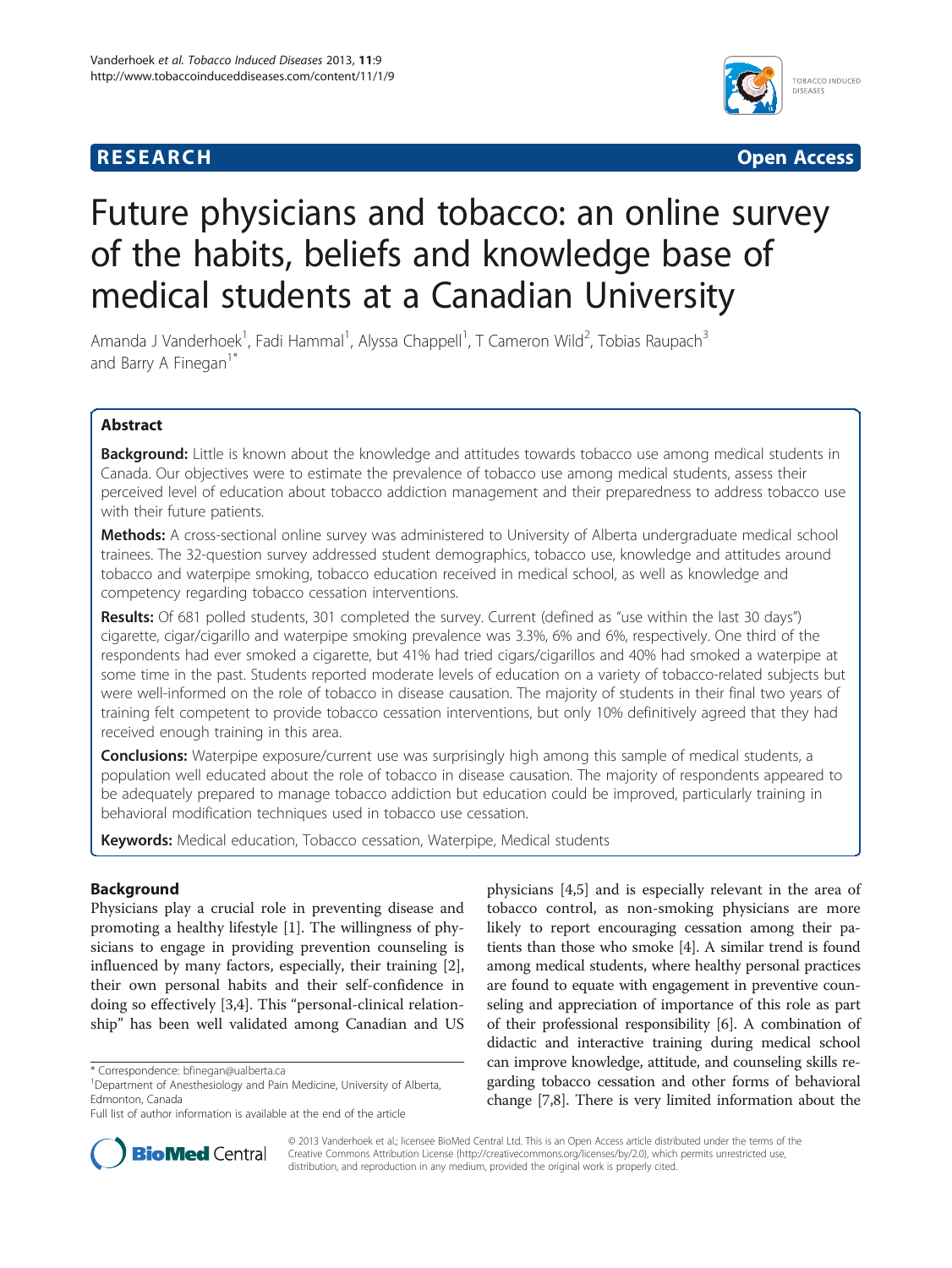## **RESEARCH CHINESE ARCH CHINESE ARCH CHINESE ARCH <b>CHINESE ARCH**



# Future physicians and tobacco: an online survey of the habits, beliefs and knowledge base of medical students at a Canadian University

Amanda J Vanderhoek<sup>1</sup>, Fadi Hammal<sup>1</sup>, Alyssa Chappell<sup>1</sup>, T Cameron Wild<sup>2</sup>, Tobias Raupach<sup>3</sup> and Barry A Finegan<sup>1\*</sup>

## Abstract

Background: Little is known about the knowledge and attitudes towards tobacco use among medical students in Canada. Our objectives were to estimate the prevalence of tobacco use among medical students, assess their perceived level of education about tobacco addiction management and their preparedness to address tobacco use with their future patients.

Methods: A cross-sectional online survey was administered to University of Alberta undergraduate medical school trainees. The 32-question survey addressed student demographics, tobacco use, knowledge and attitudes around tobacco and waterpipe smoking, tobacco education received in medical school, as well as knowledge and competency regarding tobacco cessation interventions.

Results: Of 681 polled students, 301 completed the survey. Current (defined as "use within the last 30 days") cigarette, cigar/cigarillo and waterpipe smoking prevalence was 3.3%, 6% and 6%, respectively. One third of the respondents had ever smoked a cigarette, but 41% had tried cigars/cigarillos and 40% had smoked a waterpipe at some time in the past. Students reported moderate levels of education on a variety of tobacco-related subjects but were well-informed on the role of tobacco in disease causation. The majority of students in their final two years of training felt competent to provide tobacco cessation interventions, but only 10% definitively agreed that they had received enough training in this area.

**Conclusions:** Waterpipe exposure/current use was surprisingly high among this sample of medical students, a population well educated about the role of tobacco in disease causation. The majority of respondents appeared to be adequately prepared to manage tobacco addiction but education could be improved, particularly training in behavioral modification techniques used in tobacco use cessation.

Keywords: Medical education, Tobacco cessation, Waterpipe, Medical students

## Background

Physicians play a crucial role in preventing disease and promoting a healthy lifestyle [\[1](#page-8-0)]. The willingness of physicians to engage in providing prevention counseling is influenced by many factors, especially, their training [\[2](#page-8-0)], their own personal habits and their self-confidence in doing so effectively [\[3,4](#page-8-0)]. This "personal-clinical relationship" has been well validated among Canadian and US

physicians [[4,5\]](#page-8-0) and is especially relevant in the area of tobacco control, as non-smoking physicians are more likely to report encouraging cessation among their patients than those who smoke [[4\]](#page-8-0). A similar trend is found among medical students, where healthy personal practices are found to equate with engagement in preventive counseling and appreciation of importance of this role as part of their professional responsibility [\[6](#page-8-0)]. A combination of didactic and interactive training during medical school can improve knowledge, attitude, and counseling skills regarding tobacco cessation and other forms of behavioral change [\[7,8](#page-8-0)]. There is very limited information about the



© 2013 Vanderhoek et al.; licensee BioMed Central Ltd. This is an Open Access article distributed under the terms of the Creative Commons Attribution License (<http://creativecommons.org/licenses/by/2.0>), which permits unrestricted use, distribution, and reproduction in any medium, provided the original work is properly cited.

<sup>\*</sup> Correspondence: [bfinegan@ualberta.ca](mailto:bfinegan@ualberta.ca) <sup>1</sup>

<sup>&</sup>lt;sup>1</sup>Department of Anesthesiology and Pain Medicine, University of Alberta, Edmonton, Canada

Full list of author information is available at the end of the article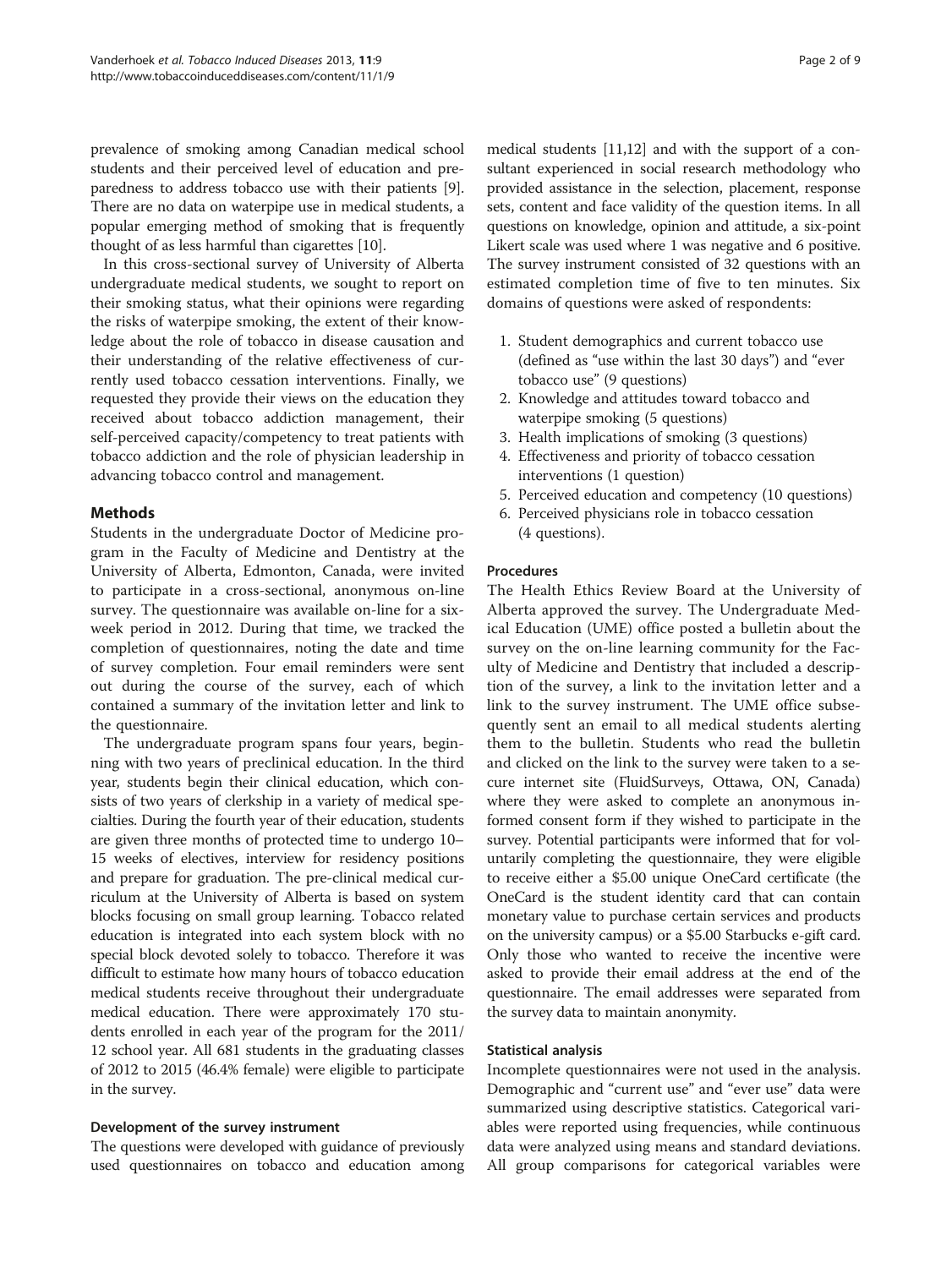prevalence of smoking among Canadian medical school students and their perceived level of education and preparedness to address tobacco use with their patients [[9](#page-8-0)]. There are no data on waterpipe use in medical students, a popular emerging method of smoking that is frequently thought of as less harmful than cigarettes [[10](#page-8-0)].

In this cross-sectional survey of University of Alberta undergraduate medical students, we sought to report on their smoking status, what their opinions were regarding the risks of waterpipe smoking, the extent of their knowledge about the role of tobacco in disease causation and their understanding of the relative effectiveness of currently used tobacco cessation interventions. Finally, we requested they provide their views on the education they received about tobacco addiction management, their self-perceived capacity/competency to treat patients with tobacco addiction and the role of physician leadership in advancing tobacco control and management.

## **Mathods**

Students in the undergraduate Doctor of Medicine program in the Faculty of Medicine and Dentistry at the University of Alberta, Edmonton, Canada, were invited to participate in a cross-sectional, anonymous on-line survey. The questionnaire was available on-line for a sixweek period in 2012. During that time, we tracked the completion of questionnaires, noting the date and time of survey completion. Four email reminders were sent out during the course of the survey, each of which contained a summary of the invitation letter and link to the questionnaire.

The undergraduate program spans four years, beginning with two years of preclinical education. In the third year, students begin their clinical education, which consists of two years of clerkship in a variety of medical specialties. During the fourth year of their education, students are given three months of protected time to undergo 10– 15 weeks of electives, interview for residency positions and prepare for graduation. The pre-clinical medical curriculum at the University of Alberta is based on system blocks focusing on small group learning. Tobacco related education is integrated into each system block with no special block devoted solely to tobacco. Therefore it was difficult to estimate how many hours of tobacco education medical students receive throughout their undergraduate medical education. There were approximately 170 students enrolled in each year of the program for the 2011/ 12 school year. All 681 students in the graduating classes of 2012 to 2015 (46.4% female) were eligible to participate in the survey.

## Development of the survey instrument

The questions were developed with guidance of previously used questionnaires on tobacco and education among

medical students [\[11,12\]](#page-8-0) and with the support of a consultant experienced in social research methodology who provided assistance in the selection, placement, response sets, content and face validity of the question items. In all questions on knowledge, opinion and attitude, a six-point Likert scale was used where 1 was negative and 6 positive. The survey instrument consisted of 32 questions with an estimated completion time of five to ten minutes. Six domains of questions were asked of respondents:

- 1. Student demographics and current tobacco use (defined as "use within the last 30 days") and "ever tobacco use" (9 questions)
- 2. Knowledge and attitudes toward tobacco and waterpipe smoking (5 questions)
- 3. Health implications of smoking (3 questions)
- 4. Effectiveness and priority of tobacco cessation interventions (1 question)
- 5. Perceived education and competency (10 questions)
- 6. Perceived physicians role in tobacco cessation (4 questions).

## Procedures

The Health Ethics Review Board at the University of Alberta approved the survey. The Undergraduate Medical Education (UME) office posted a bulletin about the survey on the on-line learning community for the Faculty of Medicine and Dentistry that included a description of the survey, a link to the invitation letter and a link to the survey instrument. The UME office subsequently sent an email to all medical students alerting them to the bulletin. Students who read the bulletin and clicked on the link to the survey were taken to a secure internet site (FluidSurveys, Ottawa, ON, Canada) where they were asked to complete an anonymous informed consent form if they wished to participate in the survey. Potential participants were informed that for voluntarily completing the questionnaire, they were eligible to receive either a \$5.00 unique OneCard certificate (the OneCard is the student identity card that can contain monetary value to purchase certain services and products on the university campus) or a \$5.00 Starbucks e-gift card. Only those who wanted to receive the incentive were asked to provide their email address at the end of the questionnaire. The email addresses were separated from the survey data to maintain anonymity.

## Statistical analysis

Incomplete questionnaires were not used in the analysis. Demographic and "current use" and "ever use" data were summarized using descriptive statistics. Categorical variables were reported using frequencies, while continuous data were analyzed using means and standard deviations. All group comparisons for categorical variables were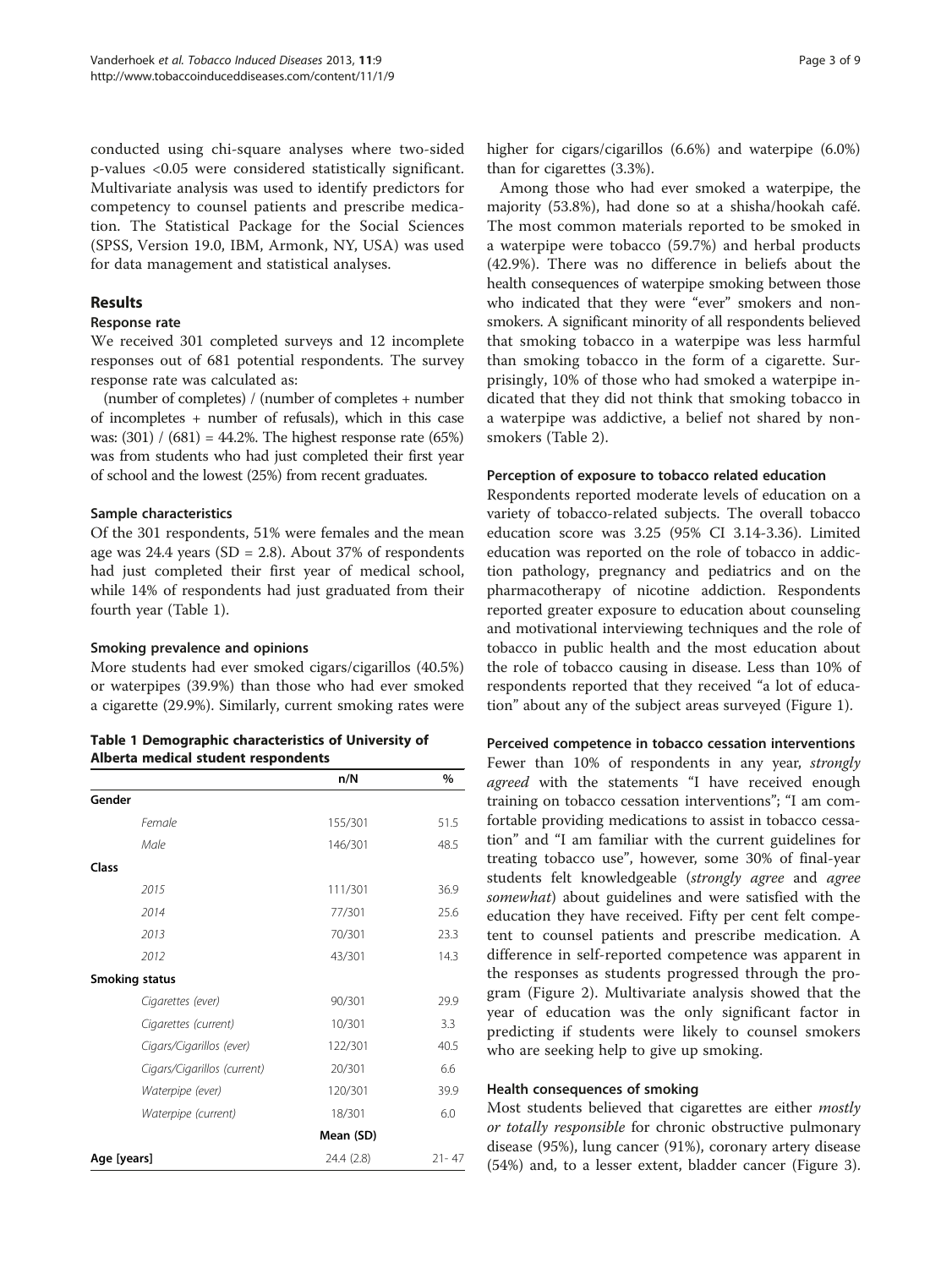conducted using chi-square analyses where two-sided p-values <0.05 were considered statistically significant. Multivariate analysis was used to identify predictors for competency to counsel patients and prescribe medication. The Statistical Package for the Social Sciences (SPSS, Version 19.0, IBM, Armonk, NY, USA) was used for data management and statistical analyses.

## Results

## Response rate

We received 301 completed surveys and 12 incomplete responses out of 681 potential respondents. The survey response rate was calculated as:

(number of completes) / (number of completes + number of incompletes + number of refusals), which in this case was:  $(301) / (681) = 44.2%$ . The highest response rate  $(65%)$ was from students who had just completed their first year of school and the lowest (25%) from recent graduates.

## Sample characteristics

Of the 301 respondents, 51% were females and the mean age was 24.4 years ( $SD = 2.8$ ). About 37% of respondents had just completed their first year of medical school, while 14% of respondents had just graduated from their fourth year (Table 1).

## Smoking prevalence and opinions

More students had ever smoked cigars/cigarillos (40.5%) or waterpipes (39.9%) than those who had ever smoked a cigarette (29.9%). Similarly, current smoking rates were

| Table 1 Demographic characteristics of University of |  |
|------------------------------------------------------|--|
| Alberta medical student respondents                  |  |

|                             | n/N        | $\%$      |  |  |
|-----------------------------|------------|-----------|--|--|
| Gender                      |            |           |  |  |
| Female                      | 155/301    | 51.5      |  |  |
| Male                        | 146/301    | 48.5      |  |  |
| Class                       |            |           |  |  |
| 2015                        | 111/301    | 36.9      |  |  |
| 2014                        | 77/301     | 25.6      |  |  |
| 2013                        | 70/301     | 23.3      |  |  |
| 2012                        | 43/301     | 14.3      |  |  |
| <b>Smoking status</b>       |            |           |  |  |
| Cigarettes (ever)           | 90/301     | 29.9      |  |  |
| Cigarettes (current)        | 10/301     | 3.3       |  |  |
| Cigars/Cigarillos (ever)    | 122/301    | 40.5      |  |  |
| Cigars/Cigarillos (current) | 20/301     | 6.6       |  |  |
| Waterpipe (ever)            | 120/301    | 39.9      |  |  |
| Waterpipe (current)         | 18/301     | 6.0       |  |  |
|                             | Mean (SD)  |           |  |  |
| Age [years]                 | 24.4 (2.8) | $21 - 47$ |  |  |

higher for cigars/cigarillos (6.6%) and waterpipe (6.0%) than for cigarettes (3.3%).

Among those who had ever smoked a waterpipe, the majority (53.8%), had done so at a shisha/hookah café. The most common materials reported to be smoked in a waterpipe were tobacco (59.7%) and herbal products (42.9%). There was no difference in beliefs about the health consequences of waterpipe smoking between those who indicated that they were "ever" smokers and nonsmokers. A significant minority of all respondents believed that smoking tobacco in a waterpipe was less harmful than smoking tobacco in the form of a cigarette. Surprisingly, 10% of those who had smoked a waterpipe indicated that they did not think that smoking tobacco in a waterpipe was addictive, a belief not shared by nonsmokers (Table [2](#page-3-0)).

## Perception of exposure to tobacco related education

Respondents reported moderate levels of education on a variety of tobacco-related subjects. The overall tobacco education score was 3.25 (95% CI 3.14-3.36). Limited education was reported on the role of tobacco in addiction pathology, pregnancy and pediatrics and on the pharmacotherapy of nicotine addiction. Respondents reported greater exposure to education about counseling and motivational interviewing techniques and the role of tobacco in public health and the most education about the role of tobacco causing in disease. Less than 10% of respondents reported that they received "a lot of education" about any of the subject areas surveyed (Figure [1\)](#page-4-0).

## Perceived competence in tobacco cessation interventions

Fewer than 10% of respondents in any year, strongly agreed with the statements "I have received enough training on tobacco cessation interventions"; "I am comfortable providing medications to assist in tobacco cessation" and "I am familiar with the current guidelines for treating tobacco use", however, some 30% of final-year students felt knowledgeable (strongly agree and agree somewhat) about guidelines and were satisfied with the education they have received. Fifty per cent felt competent to counsel patients and prescribe medication. A difference in self-reported competence was apparent in the responses as students progressed through the program (Figure [2\)](#page-5-0). Multivariate analysis showed that the year of education was the only significant factor in predicting if students were likely to counsel smokers who are seeking help to give up smoking.

## Health consequences of smoking

Most students believed that cigarettes are either mostly or totally responsible for chronic obstructive pulmonary disease (95%), lung cancer (91%), coronary artery disease (54%) and, to a lesser extent, bladder cancer (Figure [3](#page-5-0)).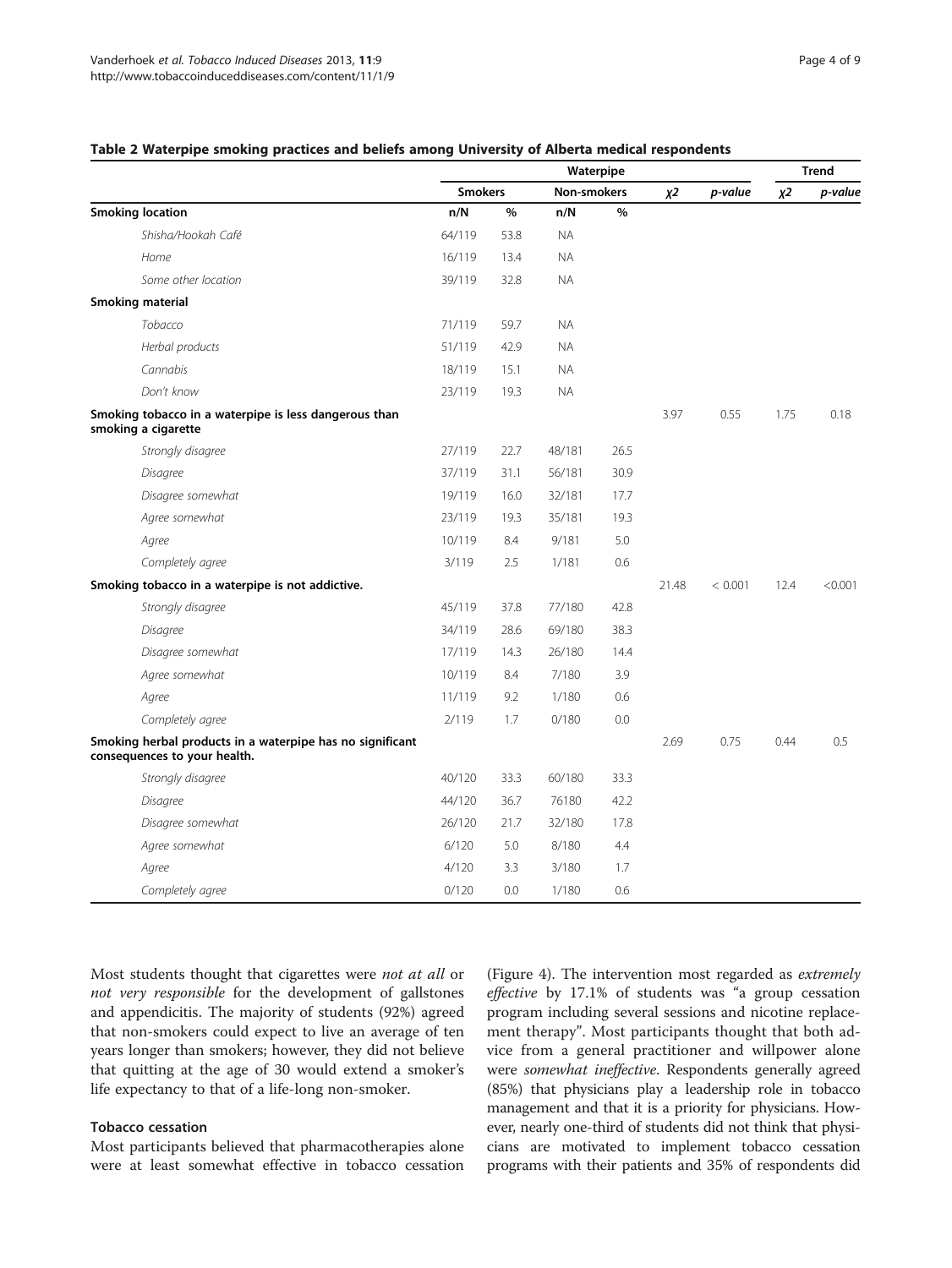#### <span id="page-3-0"></span>Table 2 Waterpipe smoking practices and beliefs among University of Alberta medical respondents

|                                                                                           | Waterpipe      |      |             |               |       |         | <b>Trend</b> |         |
|-------------------------------------------------------------------------------------------|----------------|------|-------------|---------------|-------|---------|--------------|---------|
|                                                                                           | <b>Smokers</b> |      | Non-smokers |               | $X^2$ | p-value | $X^2$        | p-value |
| <b>Smoking location</b>                                                                   | n/N            | $\%$ | n/N         | $\frac{0}{0}$ |       |         |              |         |
| Shisha/Hookah Café                                                                        | 64/119         | 53.8 | <b>NA</b>   |               |       |         |              |         |
| Home                                                                                      | 16/119         | 13.4 | <b>NA</b>   |               |       |         |              |         |
| Some other location                                                                       | 39/119         | 32.8 | <b>NA</b>   |               |       |         |              |         |
| <b>Smoking material</b>                                                                   |                |      |             |               |       |         |              |         |
| Tobacco                                                                                   | 71/119         | 59.7 | <b>NA</b>   |               |       |         |              |         |
| Herbal products                                                                           | 51/119         | 42.9 | <b>NA</b>   |               |       |         |              |         |
| Cannabis                                                                                  | 18/119         | 15.1 | <b>NA</b>   |               |       |         |              |         |
| Don't know                                                                                | 23/119         | 19.3 | <b>NA</b>   |               |       |         |              |         |
| Smoking tobacco in a waterpipe is less dangerous than<br>smoking a cigarette              |                |      |             |               | 3.97  | 0.55    | 1.75         | 0.18    |
| Strongly disagree                                                                         | 27/119         | 22.7 | 48/181      | 26.5          |       |         |              |         |
| Disagree                                                                                  | 37/119         | 31.1 | 56/181      | 30.9          |       |         |              |         |
| Disagree somewhat                                                                         | 19/119         | 16.0 | 32/181      | 17.7          |       |         |              |         |
| Agree somewhat                                                                            | 23/119         | 19.3 | 35/181      | 19.3          |       |         |              |         |
| Agree                                                                                     | 10/119         | 8.4  | 9/181       | 5.0           |       |         |              |         |
| Completely agree                                                                          | 3/119          | 2.5  | 1/181       | 0.6           |       |         |              |         |
| Smoking tobacco in a waterpipe is not addictive.                                          |                |      |             |               | 21.48 | < 0.001 | 12.4         | < 0.001 |
| Strongly disagree                                                                         | 45/119         | 37.8 | 77/180      | 42.8          |       |         |              |         |
| Disagree                                                                                  | 34/119         | 28.6 | 69/180      | 38.3          |       |         |              |         |
| Disagree somewhat                                                                         | 17/119         | 14.3 | 26/180      | 14.4          |       |         |              |         |
| Agree somewhat                                                                            | 10/119         | 8.4  | 7/180       | 3.9           |       |         |              |         |
| Agree                                                                                     | 11/119         | 9.2  | 1/180       | 0.6           |       |         |              |         |
| Completely agree                                                                          | 2/119          | 1.7  | 0/180       | 0.0           |       |         |              |         |
| Smoking herbal products in a waterpipe has no significant<br>consequences to your health. |                |      |             |               | 2.69  | 0.75    | 0.44         | 0.5     |
| Strongly disagree                                                                         | 40/120         | 33.3 | 60/180      | 33.3          |       |         |              |         |
| Disagree                                                                                  | 44/120         | 36.7 | 76180       | 42.2          |       |         |              |         |
| Disagree somewhat                                                                         | 26/120         | 21.7 | 32/180      | 17.8          |       |         |              |         |
| Agree somewhat                                                                            | 6/120          | 5.0  | 8/180       | 4.4           |       |         |              |         |
| Agree                                                                                     | 4/120          | 3.3  | 3/180       | 1.7           |       |         |              |         |
| Completely agree                                                                          | 0/120          | 0.0  | 1/180       | 0.6           |       |         |              |         |

Most students thought that cigarettes were *not at all* or not very responsible for the development of gallstones and appendicitis. The majority of students (92%) agreed that non-smokers could expect to live an average of ten years longer than smokers; however, they did not believe that quitting at the age of 30 would extend a smoker's life expectancy to that of a life-long non-smoker.

#### Tobacco cessation

Most participants believed that pharmacotherapies alone were at least somewhat effective in tobacco cessation

(Figure [4](#page-6-0)). The intervention most regarded as extremely effective by 17.1% of students was "a group cessation program including several sessions and nicotine replacement therapy". Most participants thought that both advice from a general practitioner and willpower alone were somewhat ineffective. Respondents generally agreed (85%) that physicians play a leadership role in tobacco management and that it is a priority for physicians. However, nearly one-third of students did not think that physicians are motivated to implement tobacco cessation programs with their patients and 35% of respondents did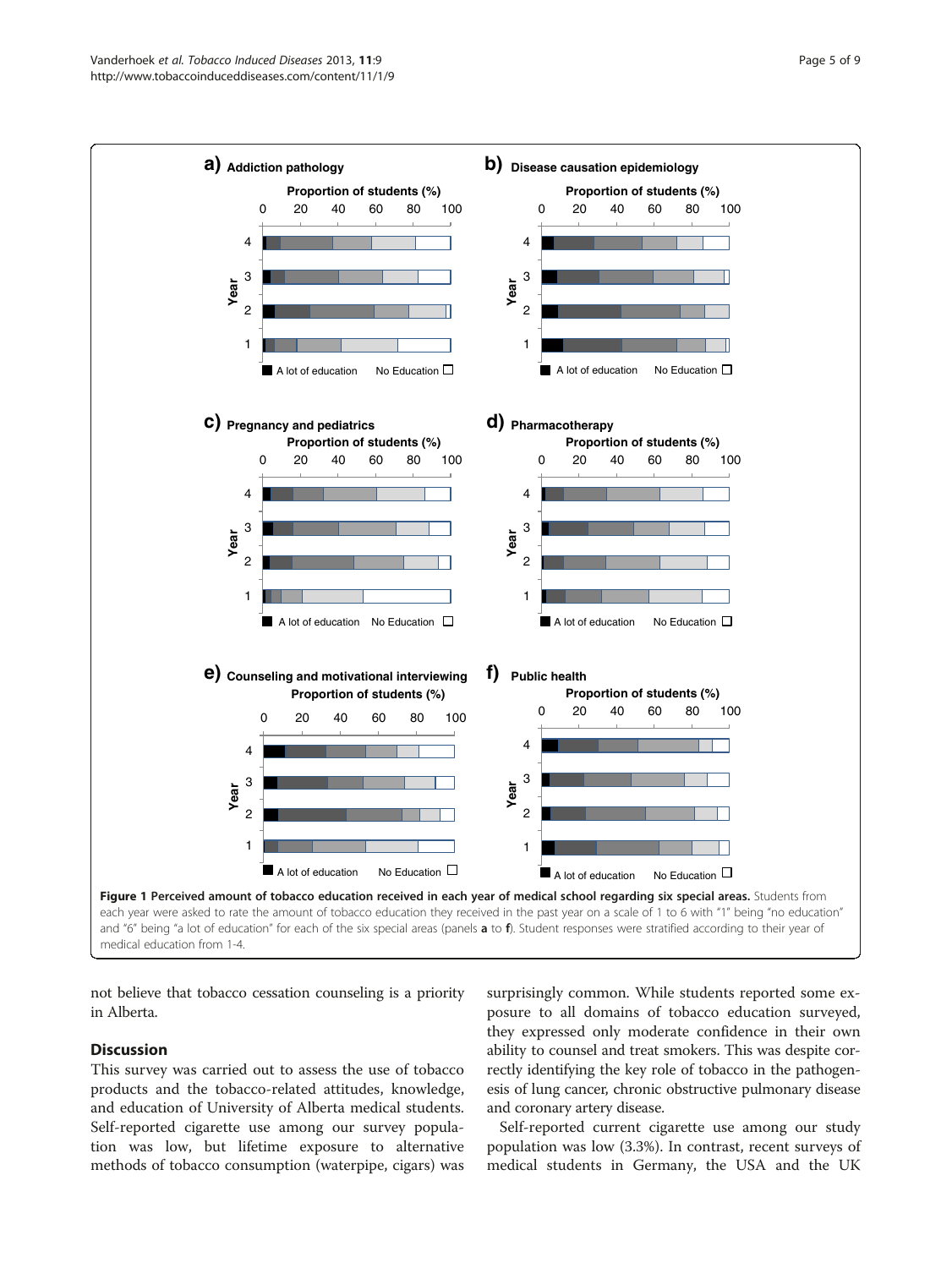<span id="page-4-0"></span>

not believe that tobacco cessation counseling is a priority in Alberta.

## **Discussion**

This survey was carried out to assess the use of tobacco products and the tobacco-related attitudes, knowledge, and education of University of Alberta medical students. Self-reported cigarette use among our survey population was low, but lifetime exposure to alternative methods of tobacco consumption (waterpipe, cigars) was surprisingly common. While students reported some exposure to all domains of tobacco education surveyed, they expressed only moderate confidence in their own ability to counsel and treat smokers. This was despite correctly identifying the key role of tobacco in the pathogenesis of lung cancer, chronic obstructive pulmonary disease and coronary artery disease.

Self-reported current cigarette use among our study population was low (3.3%). In contrast, recent surveys of medical students in Germany, the USA and the UK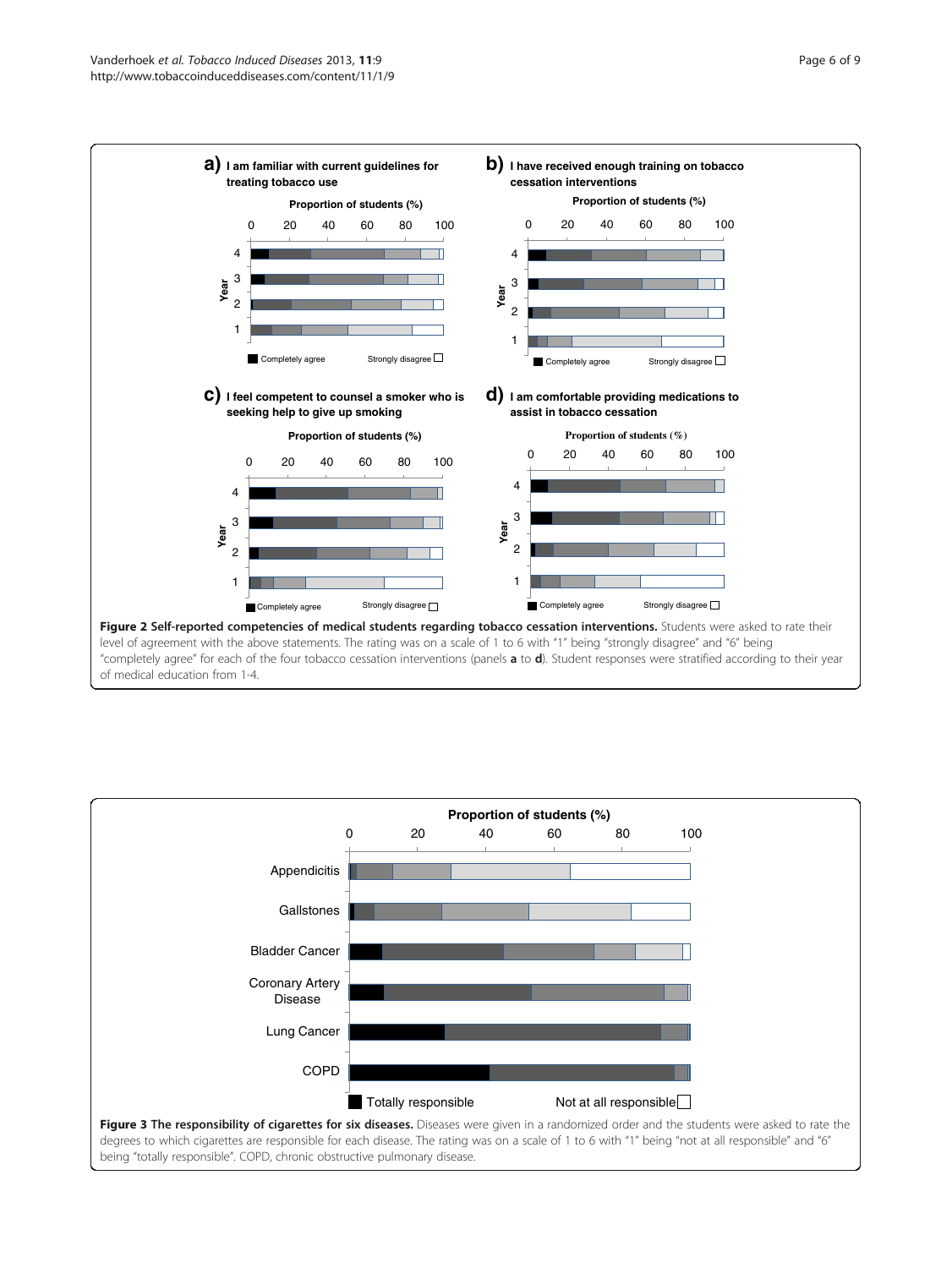<span id="page-5-0"></span>



being "totally responsible". COPD, chronic obstructive pulmonary disease.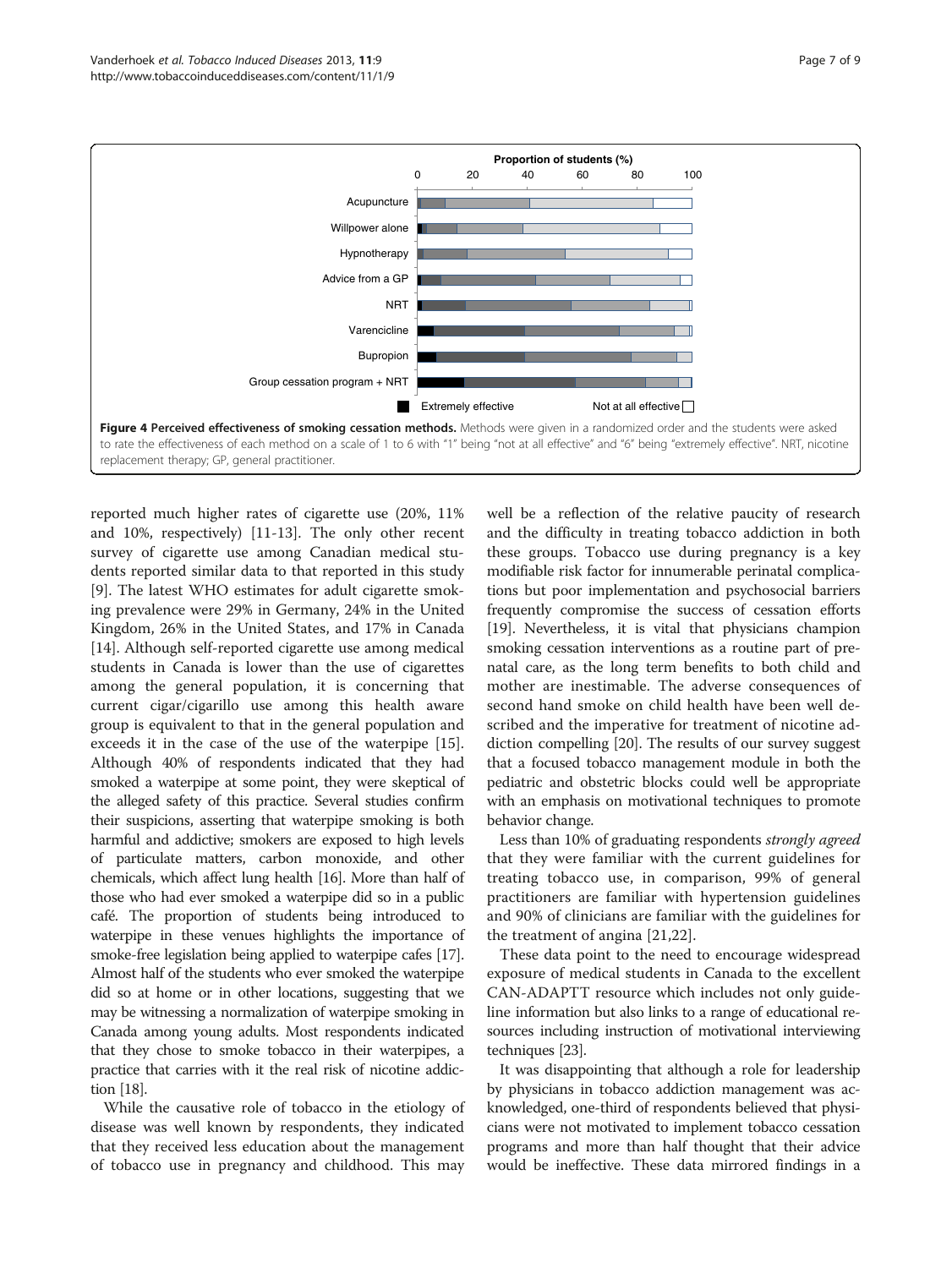<span id="page-6-0"></span>

replacement therapy; GP, general practitioner.

reported much higher rates of cigarette use (20%, 11% and 10%, respectively) [\[11-13](#page-8-0)]. The only other recent survey of cigarette use among Canadian medical students reported similar data to that reported in this study [[9\]](#page-8-0). The latest WHO estimates for adult cigarette smoking prevalence were 29% in Germany, 24% in the United Kingdom, 26% in the United States, and 17% in Canada [[14\]](#page-8-0). Although self-reported cigarette use among medical students in Canada is lower than the use of cigarettes among the general population, it is concerning that current cigar/cigarillo use among this health aware group is equivalent to that in the general population and exceeds it in the case of the use of the waterpipe [\[15](#page-8-0)]. Although 40% of respondents indicated that they had smoked a waterpipe at some point, they were skeptical of the alleged safety of this practice. Several studies confirm their suspicions, asserting that waterpipe smoking is both harmful and addictive; smokers are exposed to high levels of particulate matters, carbon monoxide, and other chemicals, which affect lung health [\[16](#page-8-0)]. More than half of those who had ever smoked a waterpipe did so in a public café. The proportion of students being introduced to waterpipe in these venues highlights the importance of smoke-free legislation being applied to waterpipe cafes [\[17](#page-8-0)]. Almost half of the students who ever smoked the waterpipe did so at home or in other locations, suggesting that we may be witnessing a normalization of waterpipe smoking in Canada among young adults. Most respondents indicated that they chose to smoke tobacco in their waterpipes, a practice that carries with it the real risk of nicotine addiction [[18](#page-8-0)].

While the causative role of tobacco in the etiology of disease was well known by respondents, they indicated that they received less education about the management of tobacco use in pregnancy and childhood. This may

well be a reflection of the relative paucity of research and the difficulty in treating tobacco addiction in both these groups. Tobacco use during pregnancy is a key modifiable risk factor for innumerable perinatal complications but poor implementation and psychosocial barriers frequently compromise the success of cessation efforts [[19](#page-8-0)]. Nevertheless, it is vital that physicians champion smoking cessation interventions as a routine part of prenatal care, as the long term benefits to both child and mother are inestimable. The adverse consequences of second hand smoke on child health have been well described and the imperative for treatment of nicotine addiction compelling [\[20\]](#page-8-0). The results of our survey suggest that a focused tobacco management module in both the pediatric and obstetric blocks could well be appropriate with an emphasis on motivational techniques to promote behavior change.

Less than 10% of graduating respondents strongly agreed that they were familiar with the current guidelines for treating tobacco use, in comparison, 99% of general practitioners are familiar with hypertension guidelines and 90% of clinicians are familiar with the guidelines for the treatment of angina [[21,22](#page-8-0)].

These data point to the need to encourage widespread exposure of medical students in Canada to the excellent CAN-ADAPTT resource which includes not only guideline information but also links to a range of educational resources including instruction of motivational interviewing techniques [[23](#page-8-0)].

It was disappointing that although a role for leadership by physicians in tobacco addiction management was acknowledged, one-third of respondents believed that physicians were not motivated to implement tobacco cessation programs and more than half thought that their advice would be ineffective. These data mirrored findings in a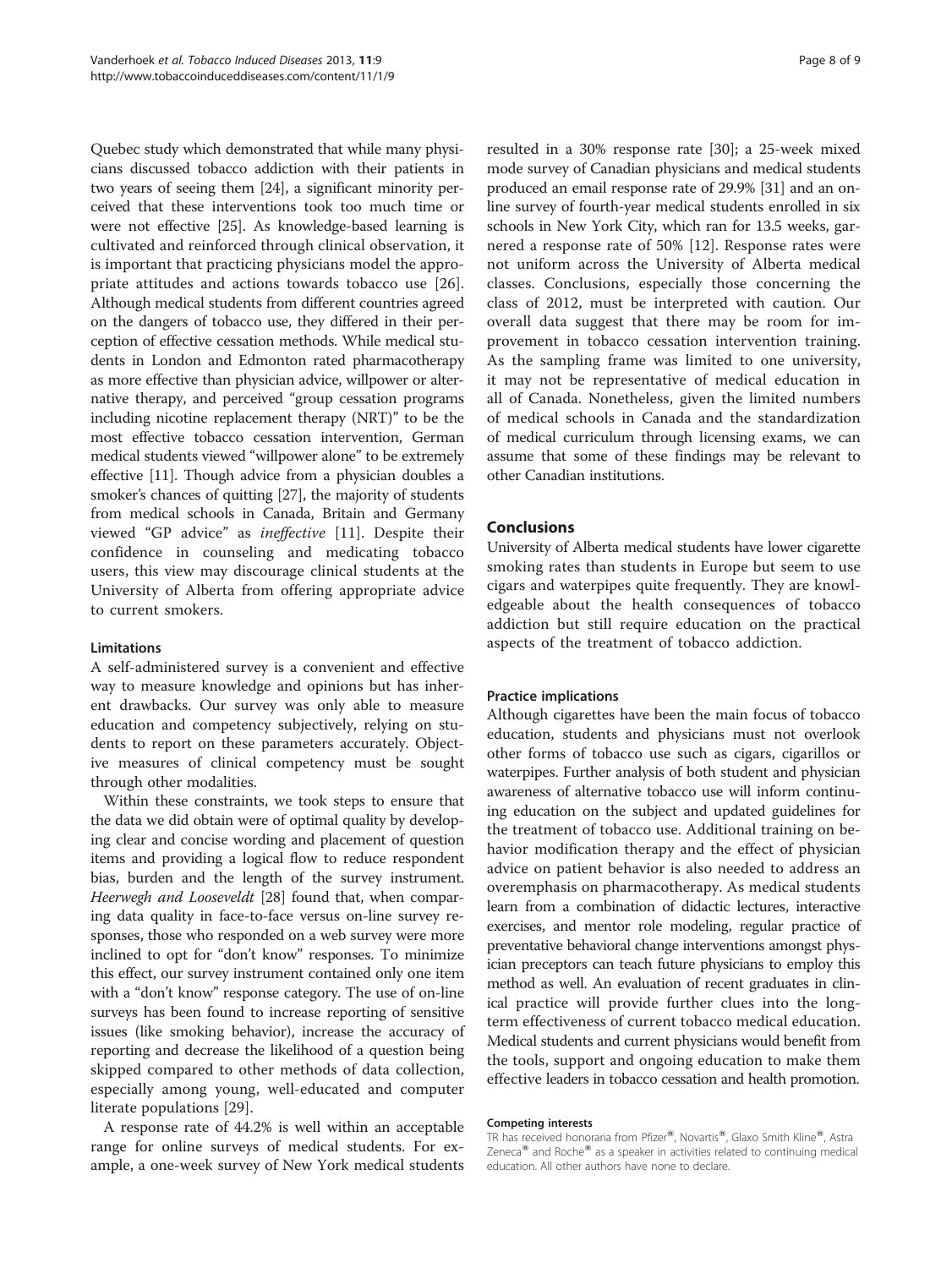Quebec study which demonstrated that while many physicians discussed tobacco addiction with their patients in two years of seeing them [[24](#page-8-0)], a significant minority perceived that these interventions took too much time or were not effective [\[25\]](#page-8-0). As knowledge-based learning is cultivated and reinforced through clinical observation, it is important that practicing physicians model the appropriate attitudes and actions towards tobacco use [\[26](#page-8-0)]. Although medical students from different countries agreed on the dangers of tobacco use, they differed in their perception of effective cessation methods. While medical students in London and Edmonton rated pharmacotherapy as more effective than physician advice, willpower or alternative therapy, and perceived "group cessation programs including nicotine replacement therapy (NRT)" to be the most effective tobacco cessation intervention, German medical students viewed "willpower alone" to be extremely effective [\[11](#page-8-0)]. Though advice from a physician doubles a smoker's chances of quitting [[27](#page-8-0)], the majority of students from medical schools in Canada, Britain and Germany viewed "GP advice" as ineffective [[11\]](#page-8-0). Despite their confidence in counseling and medicating tobacco users, this view may discourage clinical students at the University of Alberta from offering appropriate advice to current smokers.

## Limitations

A self-administered survey is a convenient and effective way to measure knowledge and opinions but has inherent drawbacks. Our survey was only able to measure education and competency subjectively, relying on students to report on these parameters accurately. Objective measures of clinical competency must be sought through other modalities.

Within these constraints, we took steps to ensure that the data we did obtain were of optimal quality by developing clear and concise wording and placement of question items and providing a logical flow to reduce respondent bias, burden and the length of the survey instrument. Heerwegh and Looseveldt [\[28\]](#page-8-0) found that, when comparing data quality in face-to-face versus on-line survey responses, those who responded on a web survey were more inclined to opt for "don't know" responses. To minimize this effect, our survey instrument contained only one item with a "don't know" response category. The use of on-line surveys has been found to increase reporting of sensitive issues (like smoking behavior), increase the accuracy of reporting and decrease the likelihood of a question being skipped compared to other methods of data collection, especially among young, well-educated and computer literate populations [\[29](#page-8-0)].

A response rate of 44.2% is well within an acceptable range for online surveys of medical students. For example, a one-week survey of New York medical students

resulted in a 30% response rate [[30\]](#page-8-0); a 25-week mixed mode survey of Canadian physicians and medical students produced an email response rate of 29.9% [[31](#page-8-0)] and an online survey of fourth-year medical students enrolled in six schools in New York City, which ran for 13.5 weeks, garnered a response rate of 50% [\[12](#page-8-0)]. Response rates were not uniform across the University of Alberta medical classes. Conclusions, especially those concerning the class of 2012, must be interpreted with caution. Our overall data suggest that there may be room for improvement in tobacco cessation intervention training. As the sampling frame was limited to one university, it may not be representative of medical education in all of Canada. Nonetheless, given the limited numbers of medical schools in Canada and the standardization of medical curriculum through licensing exams, we can assume that some of these findings may be relevant to other Canadian institutions.

## Conclusions

University of Alberta medical students have lower cigarette smoking rates than students in Europe but seem to use cigars and waterpipes quite frequently. They are knowledgeable about the health consequences of tobacco addiction but still require education on the practical aspects of the treatment of tobacco addiction.

## Practice implications

Although cigarettes have been the main focus of tobacco education, students and physicians must not overlook other forms of tobacco use such as cigars, cigarillos or waterpipes. Further analysis of both student and physician awareness of alternative tobacco use will inform continuing education on the subject and updated guidelines for the treatment of tobacco use. Additional training on behavior modification therapy and the effect of physician advice on patient behavior is also needed to address an overemphasis on pharmacotherapy. As medical students learn from a combination of didactic lectures, interactive exercises, and mentor role modeling, regular practice of preventative behavioral change interventions amongst physician preceptors can teach future physicians to employ this method as well. An evaluation of recent graduates in clinical practice will provide further clues into the longterm effectiveness of current tobacco medical education. Medical students and current physicians would benefit from the tools, support and ongoing education to make them effective leaders in tobacco cessation and health promotion.

#### Competing interests

TR has received honoraria from Pfizer®, Novartis®, Glaxo Smith Kline®, Astra Zeneca $^{\circledR}$  and Roche $^{\circledR}$  as a speaker in activities related to continuing medical education. All other authors have none to declare.